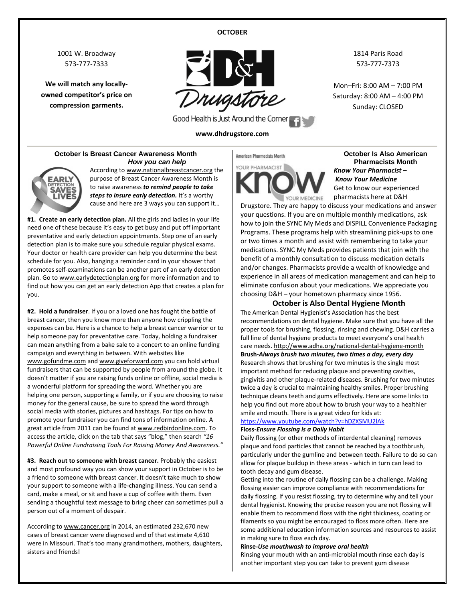#### **OCTOBER**

1001 W. Broadway 573-777-7333

**We will match any locallyowned competitor's price on compression garments.**



Good Health is Just Around the Corner

#### **www.dhdrugstore.com**

1814 Paris Road 573-777-7373

Mon–Fri: 8:00 AM – 7:00 PM Saturday: 8:00 AM – 4:00 PM Sunday: CLOSED

### **October Is Breast Cancer Awareness Month** *How you can help*



According t[o www.nationalbreastcancer.org](http://www.nationalbreastcancer.org/) the purpose of Breast Cancer Awareness Month is to raise awareness *to remind people to take*  steps to insure early detection. It's a worthy cause and here are 3 ways you can support it…

**#1. Create an early detection plan.** All the girls and ladies in your life need one of these because it's easy to get busy and put off important preventative and early detection appointments. Step one of an early detection plan is to make sure you schedule regular physical exams. Your doctor or health care provider can help you determine the best schedule for you. Also, hanging a reminder card in your shower that promotes self-examinations can be another part of an early detection plan. Go t[o www.earlydetectionplan.org](http://www.earlydetectionplan.org/) for more information and to find out how you can get an early detection App that creates a plan for you.

**#2. Hold a fundraiser**. If you or a loved one has fought the battle of breast cancer, then you know more than anyone how crippling the expenses can be. Here is a chance to help a breast cancer warrior or to help someone pay for preventative care. Today, holding a fundraiser can mean anything from a bake sale to a concert to an online funding campaign and everything in between. With websites like [www.gofundme.com](http://www.gofundme.com/) an[d www.giveforward.com](http://www.giveforward.com/) you can hold virtual fundraisers that can be supported by people from around the globe. It doesn't matter if you are raising funds online or offline, social media is a wonderful platform for spreading the word. Whether you are helping one person, supporting a family, or if you are choosing to raise money for the general cause, be sure to spread the word through social media with stories, pictures and hashtags. For tips on how to promote your fundraiser you can find tons of information online. A great article from 2011 can be found a[t www.redbirdonline.com.](http://www.redbirdonline.com/) To access the article, click on the tab that says "blog," then search *"16 Powerful Online Fundraising Tools For Raising Money And Awareness."*

**#3. Reach out to someone with breast cancer.** Probably the easiest and most profound way you can show your support in October is to be a friend to someone with breast cancer. It doesn't take much to show your support to someone with a life-changing illness. You can send a card, make a meal, or sit and have a cup of coffee with them. Even sending a thoughtful text message to bring cheer can sometimes pull a person out of a moment of despair.

According t[o www.cancer.org](http://www.cancer.org/) in 2014, an estimated 232,670 new cases of breast cancer were diagnosed and of that estimate 4,610 were in Missouri. That's too many grandmothers, mothers, daughters, sisters and friends!

## American Pharmacists Month YOUR PHARMACIST

YOUR MEDICINE

**October Is Also American Pharmacists Month** *Know Your Pharmacist – Know Your Medicine* Get to know our experienced pharmacists here at D&H

Drugstore. They are happy to discuss your medications and answer your questions. If you are on multiple monthly medications, ask how to join the SYNC My Meds and DISPILL Convenience Packaging Programs. These programs help with streamlining pick-ups to one or two times a month and assist with remembering to take your medications. SYNC My Meds provides patients that join with the benefit of a monthly consultation to discuss medication details and/or changes. Pharmacists provide a wealth of knowledge and experience in all areas of medication management and can help to eliminate confusion about your medications. We appreciate you choosing D&H – your hometown pharmacy since 1956.

### **October is Also Dental Hygiene Month**

The American Dental Hygienist's Association has the best recommendations on dental hygiene. Make sure that you have all the proper tools for brushing, flossing, rinsing and chewing. D&H carries a full line of dental hygiene products to meet everyone's oral health care needs.<http://www.adha.org/national-dental-hygiene-month> **Brush-***Always brush two minutes, two times a day, every day* Research shows that brushing for two minutes is the single most important method for reducing plaque and preventing cavities, gingivitis and other plaque-related diseases. Brushing for two minutes twice a day is crucial to maintaining healthy smiles. Proper brushing technique cleans teeth and gums effectively. Here are some links to help you find out more about how to brush your way to a healthier smile and mouth. There is a great video for kids at:

#### <https://www.youtube.com/watch?v=hDZXSMU2lAk> **Floss-***Ensure Flossing is a Daily Habit*

Daily flossing (or other methods of interdental cleaning) removes plaque and food particles that cannot be reached by a toothbrush, particularly under the gumline and between teeth. Failure to do so can allow for plaque buildup in these areas - which in turn can lead to tooth decay and gum disease.

Getting into the routine of daily flossing can be a challenge. Making flossing easier can improve compliance with recommendations for daily flossing. If you resist flossing, try to determine why and tell your dental hygienist. Knowing the precise reason you are not flossing will enable them to recommend floss with the right thickness, coating or filaments so you might be encouraged to floss more often. Here are some additional education information sources and resources to assist in making sure to floss each day.

#### **Rinse-***Use mouthwash to improve oral health*

Rinsing your mouth with an anti-microbial mouth rinse each day is another important step you can take to prevent gum disease